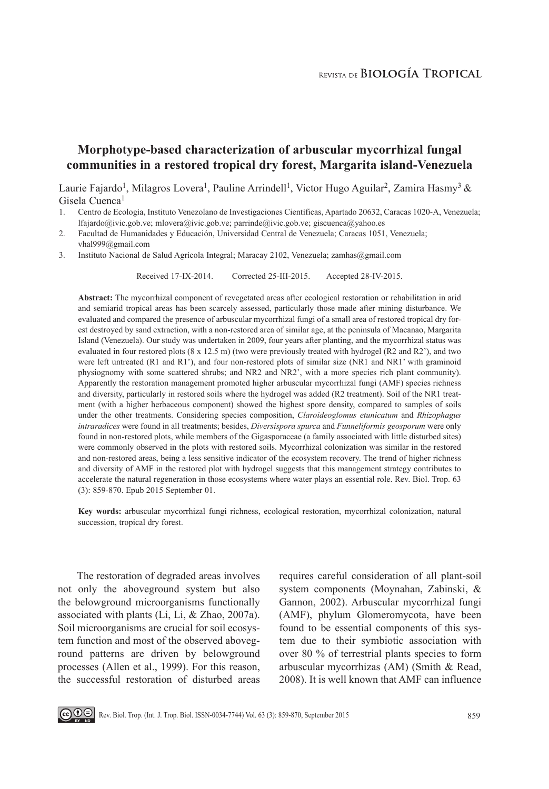# **Morphotype-based characterization of arbuscular mycorrhizal fungal communities in a restored tropical dry forest, Margarita island-Venezuela**

Laurie Fajardo<sup>1</sup>, Milagros Lovera<sup>1</sup>, Pauline Arrindell<sup>1</sup>, Victor Hugo Aguilar<sup>2</sup>, Zamira Hasmy<sup>3</sup> & Gisela Cuenca<sup>1</sup>

- 1. Centro de Ecología, Instituto Venezolano de Investigaciones Científicas, Apartado 20632, Caracas 1020-A, Venezuela; lfajardo@ivic.gob.ve; mlovera@ivic.gob.ve; parrinde@ivic.gob.ve; giscuenca@yahoo.es
- 2. Facultad de Humanidades y Educación, Universidad Central de Venezuela; Caracas 1051, Venezuela; vhal999@gmail.com
- 3. Instituto Nacional de Salud Agrícola Integral; Maracay 2102, Venezuela; zamhas@gmail.com

Received 17-IX-2014. Corrected 25-III-2015. Accepted 28-IV-2015.

**Abstract:** The mycorrhizal component of revegetated areas after ecological restoration or rehabilitation in arid and semiarid tropical areas has been scarcely assessed, particularly those made after mining disturbance. We evaluated and compared the presence of arbuscular mycorrhizal fungi of a small area of restored tropical dry forest destroyed by sand extraction, with a non-restored area of similar age, at the peninsula of Macanao, Margarita Island (Venezuela). Our study was undertaken in 2009, four years after planting, and the mycorrhizal status was evaluated in four restored plots (8 x 12.5 m) (two were previously treated with hydrogel (R2 and R2'), and two were left untreated (R1 and R1'), and four non-restored plots of similar size (NR1 and NR1' with graminoid physiognomy with some scattered shrubs; and NR2 and NR2', with a more species rich plant community). Apparently the restoration management promoted higher arbuscular mycorrhizal fungi (AMF) species richness and diversity, particularly in restored soils where the hydrogel was added (R2 treatment). Soil of the NR1 treatment (with a higher herbaceous component) showed the highest spore density, compared to samples of soils under the other treatments. Considering species composition, *Claroideoglomus etunicatum* and *Rhizophagus intraradices* were found in all treatments; besides, *Diversispora spurca* and *Funneliformis geosporum* were only found in non-restored plots, while members of the Gigasporaceae (a family associated with little disturbed sites) were commonly observed in the plots with restored soils. Mycorrhizal colonization was similar in the restored and non-restored areas, being a less sensitive indicator of the ecosystem recovery. The trend of higher richness and diversity of AMF in the restored plot with hydrogel suggests that this management strategy contributes to accelerate the natural regeneration in those ecosystems where water plays an essential role. Rev. Biol. Trop. 63 (3): 859-870. Epub 2015 September 01.

**Key words:** arbuscular mycorrhizal fungi richness, ecological restoration, mycorrhizal colonization, natural succession, tropical dry forest.

The restoration of degraded areas involves not only the aboveground system but also the belowground microorganisms functionally associated with plants (Li, Li, & Zhao, 2007a). Soil microorganisms are crucial for soil ecosystem function and most of the observed aboveground patterns are driven by belowground processes (Allen et al., 1999). For this reason, the successful restoration of disturbed areas requires careful consideration of all plant-soil system components (Moynahan, Zabinski, & Gannon, 2002). Arbuscular mycorrhizal fungi (AMF), phylum Glomeromycota, have been found to be essential components of this system due to their symbiotic association with over 80 % of terrestrial plants species to form arbuscular mycorrhizas (AM) (Smith & Read, 2008). It is well known that AMF can influence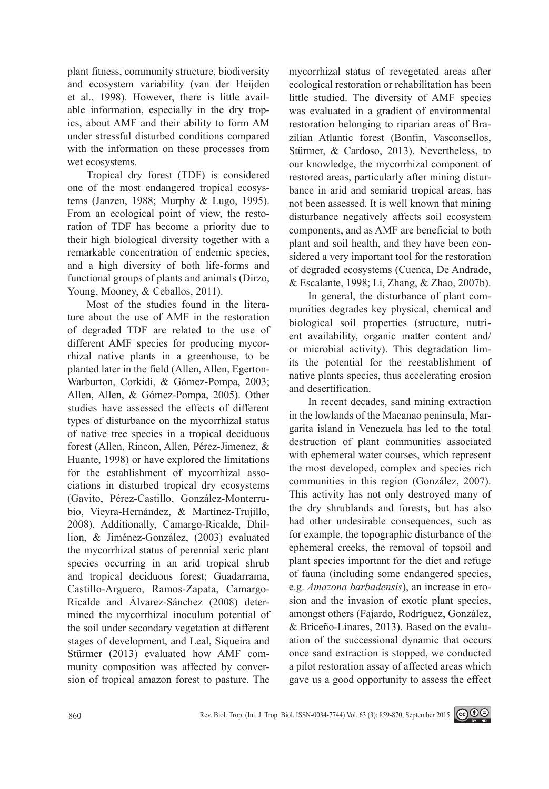plant fitness, community structure, biodiversity and ecosystem variability (van der Heijden et al., 1998). However, there is little available information, especially in the dry tropics, about AMF and their ability to form AM under stressful disturbed conditions compared with the information on these processes from wet ecosystems.

Tropical dry forest (TDF) is considered one of the most endangered tropical ecosystems (Janzen, 1988; Murphy & Lugo, 1995). From an ecological point of view, the restoration of TDF has become a priority due to their high biological diversity together with a remarkable concentration of endemic species, and a high diversity of both life-forms and functional groups of plants and animals (Dirzo, Young, Mooney, & Ceballos, 2011).

Most of the studies found in the literature about the use of AMF in the restoration of degraded TDF are related to the use of different AMF species for producing mycorrhizal native plants in a greenhouse, to be planted later in the field (Allen, Allen, Egerton-Warburton, Corkidi, & Gómez-Pompa, 2003; Allen, Allen, & Gómez-Pompa, 2005). Other studies have assessed the effects of different types of disturbance on the mycorrhizal status of native tree species in a tropical deciduous forest (Allen, Rincon, Allen, Pérez-Jimenez, & Huante, 1998) or have explored the limitations for the establishment of mycorrhizal associations in disturbed tropical dry ecosystems (Gavito, Pérez-Castillo, González-Monterrubio, Vieyra-Hernández, & Martínez-Trujillo, 2008). Additionally, Camargo-Ricalde, Dhillion, & Jiménez-González, (2003) evaluated the mycorrhizal status of perennial xeric plant species occurring in an arid tropical shrub and tropical deciduous forest; Guadarrama, Castillo-Arguero, Ramos-Zapata, Camargo-Ricalde and Álvarez-Sánchez (2008) determined the mycorrhizal inoculum potential of the soil under secondary vegetation at different stages of development, and Leal, Siqueira and Stürmer (2013) evaluated how AMF community composition was affected by conversion of tropical amazon forest to pasture. The mycorrhizal status of revegetated areas after ecological restoration or rehabilitation has been little studied. The diversity of AMF species was evaluated in a gradient of environmental restoration belonging to riparian areas of Brazilian Atlantic forest (Bonfin, Vasconsellos, Stürmer, & Cardoso, 2013). Nevertheless, to our knowledge, the mycorrhizal component of restored areas, particularly after mining disturbance in arid and semiarid tropical areas, has not been assessed. It is well known that mining disturbance negatively affects soil ecosystem components, and as AMF are beneficial to both plant and soil health, and they have been considered a very important tool for the restoration of degraded ecosystems (Cuenca, De Andrade, & Escalante, 1998; Li, Zhang, & Zhao, 2007b).

In general, the disturbance of plant communities degrades key physical, chemical and biological soil properties (structure, nutrient availability, organic matter content and/ or microbial activity). This degradation limits the potential for the reestablishment of native plants species, thus accelerating erosion and desertification.

In recent decades, sand mining extraction in the lowlands of the Macanao peninsula, Margarita island in Venezuela has led to the total destruction of plant communities associated with ephemeral water courses, which represent the most developed, complex and species rich communities in this region (González, 2007). This activity has not only destroyed many of the dry shrublands and forests, but has also had other undesirable consequences, such as for example, the topographic disturbance of the ephemeral creeks, the removal of topsoil and plant species important for the diet and refuge of fauna (including some endangered species, e.g. *Amazona barbadensis*), an increase in erosion and the invasion of exotic plant species, amongst others (Fajardo, Rodríguez, González, & Briceño-Linares, 2013). Based on the evaluation of the successional dynamic that occurs once sand extraction is stopped, we conducted a pilot restoration assay of affected areas which gave us a good opportunity to assess the effect

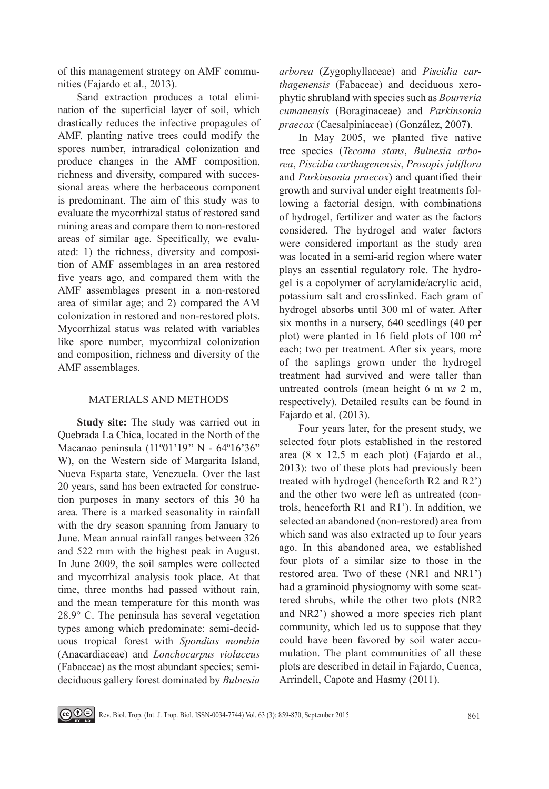of this management strategy on AMF communities (Fajardo et al., 2013).

Sand extraction produces a total elimination of the superficial layer of soil, which drastically reduces the infective propagules of AMF, planting native trees could modify the spores number, intraradical colonization and produce changes in the AMF composition, richness and diversity, compared with successional areas where the herbaceous component is predominant. The aim of this study was to evaluate the mycorrhizal status of restored sand mining areas and compare them to non-restored areas of similar age. Specifically, we evaluated: 1) the richness, diversity and composition of AMF assemblages in an area restored five years ago, and compared them with the AMF assemblages present in a non-restored area of similar age; and 2) compared the AM colonization in restored and non-restored plots. Mycorrhizal status was related with variables like spore number, mycorrhizal colonization and composition, richness and diversity of the AMF assemblages.

## MATERIALS AND METHODS

**Study site:** The study was carried out in Quebrada La Chica, located in the North of the Macanao peninsula (11º01'19'' N - 64º16'36" W), on the Western side of Margarita Island, Nueva Esparta state, Venezuela. Over the last 20 years, sand has been extracted for construction purposes in many sectors of this 30 ha area. There is a marked seasonality in rainfall with the dry season spanning from January to June. Mean annual rainfall ranges between 326 and 522 mm with the highest peak in August. In June 2009, the soil samples were collected and mycorrhizal analysis took place. At that time, three months had passed without rain, and the mean temperature for this month was 28.9° C. The peninsula has several vegetation types among which predominate: semi-deciduous tropical forest with *Spondias mombin* (Anacardiaceae) and *Lonchocarpus violaceus*  (Fabaceae) as the most abundant species; semideciduous gallery forest dominated by *Bulnesia* 

*arborea* (Zygophyllaceae) and *Piscidia carthagenensis* (Fabaceae) and deciduous xerophytic shrubland with species such as *Bourreria cumanensis* (Boraginaceae) and *Parkinsonia praecox* (Caesalpiniaceae) (González, 2007).

In May 2005, we planted five native tree species (*Tecoma stans*, *Bulnesia arborea*, *Piscidia carthagenensis*, *Prosopis juliflora* and *Parkinsonia praecox*) and quantified their growth and survival under eight treatments following a factorial design, with combinations of hydrogel, fertilizer and water as the factors considered. The hydrogel and water factors were considered important as the study area was located in a semi-arid region where water plays an essential regulatory role. The hydrogel is a copolymer of acrylamide/acrylic acid, potassium salt and crosslinked. Each gram of hydrogel absorbs until 300 ml of water. After six months in a nursery, 640 seedlings (40 per plot) were planted in 16 field plots of 100  $m<sup>2</sup>$ each; two per treatment. After six years, more of the saplings grown under the hydrogel treatment had survived and were taller than untreated controls (mean height 6 m *vs* 2 m, respectively). Detailed results can be found in Fajardo et al. (2013).

Four years later, for the present study, we selected four plots established in the restored area (8 x 12.5 m each plot) (Fajardo et al., 2013): two of these plots had previously been treated with hydrogel (henceforth R2 and R2') and the other two were left as untreated (controls, henceforth R1 and R1'). In addition, we selected an abandoned (non-restored) area from which sand was also extracted up to four years ago. In this abandoned area, we established four plots of a similar size to those in the restored area. Two of these (NR1 and NR1') had a graminoid physiognomy with some scattered shrubs, while the other two plots (NR2 and NR2') showed a more species rich plant community, which led us to suppose that they could have been favored by soil water accumulation. The plant communities of all these plots are described in detail in Fajardo, Cuenca, Arrindell, Capote and Hasmy (2011).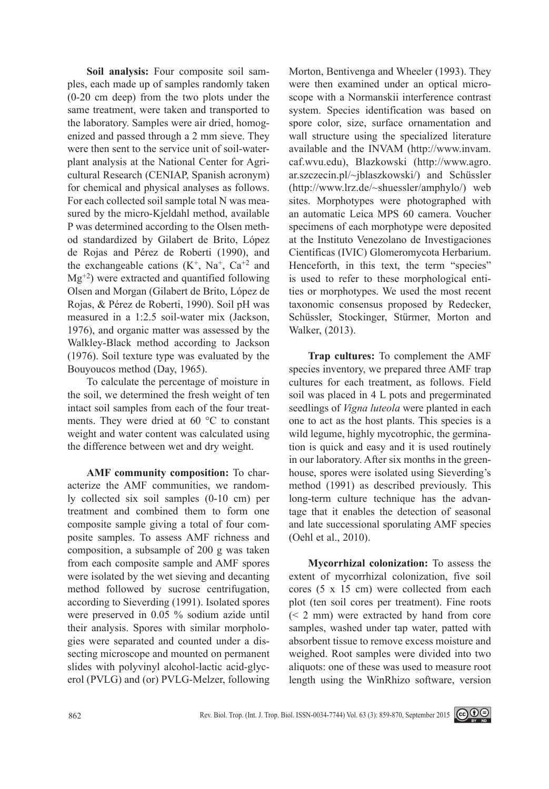**Soil analysis:** Four composite soil samples, each made up of samples randomly taken (0-20 cm deep) from the two plots under the same treatment, were taken and transported to the laboratory. Samples were air dried, homogenized and passed through a 2 mm sieve. They were then sent to the service unit of soil-waterplant analysis at the National Center for Agricultural Research (CENIAP, Spanish acronym) for chemical and physical analyses as follows. For each collected soil sample total N was measured by the micro-Kjeldahl method, available P was determined according to the Olsen method standardized by Gilabert de Brito, López de Rojas and Pérez de Roberti (1990), and the exchangeable cations  $(K^+, Na^+, Ca^{+2}$  and  $Mg^{+2}$ ) were extracted and quantified following Olsen and Morgan (Gilabert de Brito, López de Rojas, & Pérez de Roberti, 1990). Soil pH was measured in a 1:2.5 soil-water mix (Jackson, 1976), and organic matter was assessed by the Walkley-Black method according to Jackson (1976). Soil texture type was evaluated by the Bouyoucos method (Day, 1965).

To calculate the percentage of moisture in the soil, we determined the fresh weight of ten intact soil samples from each of the four treatments. They were dried at 60 °C to constant weight and water content was calculated using the difference between wet and dry weight.

**AMF community composition:** To characterize the AMF communities, we randomly collected six soil samples (0-10 cm) per treatment and combined them to form one composite sample giving a total of four composite samples. To assess AMF richness and composition, a subsample of 200 g was taken from each composite sample and AMF spores were isolated by the wet sieving and decanting method followed by sucrose centrifugation, according to Sieverding (1991). Isolated spores were preserved in 0.05 % sodium azide until their analysis. Spores with similar morphologies were separated and counted under a dissecting microscope and mounted on permanent slides with polyvinyl alcohol-lactic acid-glycerol (PVLG) and (or) PVLG-Melzer, following Morton, Bentivenga and Wheeler (1993). They were then examined under an optical microscope with a Normanskii interference contrast system. Species identification was based on spore color, size, surface ornamentation and wall structure using the specialized literature available and the INVAM (http://www.invam. caf.wvu.edu), Blazkowski (http://www.agro. ar.szczecin.pl/~jblaszkowski/) and Schüssler (http://www.lrz.de/~shuessler/amphylo/) web sites. Morphotypes were photographed with an automatic Leica MPS 60 camera. Voucher specimens of each morphotype were deposited at the Instituto Venezolano de Investigaciones Científicas (IVIC) Glomeromycota Herbarium. Henceforth, in this text, the term "species" is used to refer to these morphological entities or morphotypes. We used the most recent taxonomic consensus proposed by Redecker, Schüssler, Stockinger, Stürmer, Morton and Walker, (2013).

**Trap cultures:** To complement the AMF species inventory, we prepared three AMF trap cultures for each treatment, as follows. Field soil was placed in 4 L pots and pregerminated seedlings of *Vigna luteola* were planted in each one to act as the host plants. This species is a wild legume, highly mycotrophic, the germination is quick and easy and it is used routinely in our laboratory. After six months in the greenhouse, spores were isolated using Sieverding's method (1991) as described previously. This long-term culture technique has the advantage that it enables the detection of seasonal and late successional sporulating AMF species (Oehl et al., 2010).

**Mycorrhizal colonization:** To assess the extent of mycorrhizal colonization, five soil cores (5 x 15 cm) were collected from each plot (ten soil cores per treatment). Fine roots (< 2 mm) were extracted by hand from core samples, washed under tap water, patted with absorbent tissue to remove excess moisture and weighed. Root samples were divided into two aliquots: one of these was used to measure root length using the WinRhizo software, version

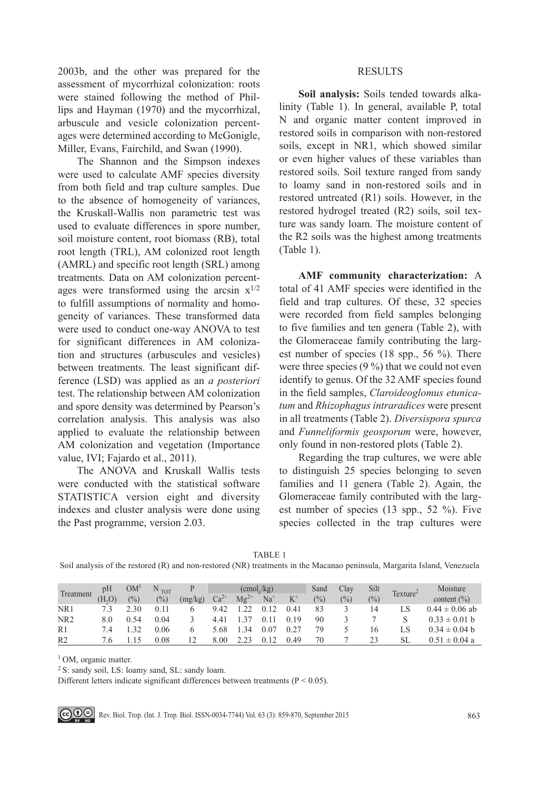2003b, and the other was prepared for the assessment of mycorrhizal colonization: roots were stained following the method of Phillips and Hayman (1970) and the mycorrhizal, arbuscule and vesicle colonization percentages were determined according to McGonigle, Miller, Evans, Fairchild, and Swan (1990).

The Shannon and the Simpson indexes were used to calculate AMF species diversity from both field and trap culture samples. Due to the absence of homogeneity of variances, the Kruskall-Wallis non parametric test was used to evaluate differences in spore number, soil moisture content, root biomass (RB), total root length (TRL), AM colonized root length (AMRL) and specific root length (SRL) among treatments. Data on AM colonization percentages were transformed using the arcsin  $x^{1/2}$ to fulfill assumptions of normality and homogeneity of variances. These transformed data were used to conduct one-way ANOVA to test for significant differences in AM colonization and structures (arbuscules and vesicles) between treatments. The least significant difference (LSD) was applied as an *a posteriori*  test. The relationship between AM colonization and spore density was determined by Pearson's correlation analysis. This analysis was also applied to evaluate the relationship between AM colonization and vegetation (Importance value, IVI; Fajardo et al., 2011).

The ANOVA and Kruskall Wallis tests were conducted with the statistical software STATISTICA version eight and diversity indexes and cluster analysis were done using the Past programme, version 2.03.

## **RESULTS**

**Soil analysis:** Soils tended towards alkalinity (Table 1). In general, available P, total N and organic matter content improved in restored soils in comparison with non-restored soils, except in NR1, which showed similar or even higher values of these variables than restored soils. Soil texture ranged from sandy to loamy sand in non-restored soils and in restored untreated (R1) soils. However, in the restored hydrogel treated (R2) soils, soil texture was sandy loam. The moisture content of the R2 soils was the highest among treatments (Table 1).

**AMF community characterization:** A total of 41 AMF species were identified in the field and trap cultures. Of these, 32 species were recorded from field samples belonging to five families and ten genera (Table 2), with the Glomeraceae family contributing the largest number of species (18 spp., 56 %). There were three species (9 %) that we could not even identify to genus. Of the 32 AMF species found in the field samples, *Claroideoglomus etunicatum* and *Rhizophagus intraradices* were present in all treatments (Table 2). *Diversispora spurca*  and *Funneliformis geosporum* were, however, only found in non-restored plots (Table 2).

Regarding the trap cultures, we were able to distinguish 25 species belonging to seven families and 11 genera (Table 2). Again, the Glomeraceae family contributed with the largest number of species (13 spp., 52 %). Five species collected in the trap cultures were

Soil analysis of the restored (R) and non-restored (NR) treatments in the Macanao peninsula, Margarita Island, Venezuela

| Treatment       | pH     | OM <sup>1</sup> | $N_{TOT}$     |         |        | $\text{cmol/kg}$ |       |       | Sand          | Clay           | Silt          | Texture <sup>2</sup> | Moisture           |
|-----------------|--------|-----------------|---------------|---------|--------|------------------|-------|-------|---------------|----------------|---------------|----------------------|--------------------|
|                 | (H, O) | $\frac{1}{2}$   | $\frac{0}{0}$ | (mg/kg) | $Ca2+$ | $Mg^{2+}$        | $Na+$ | $K^+$ | $\frac{0}{0}$ | $\binom{0}{0}$ | $\frac{1}{2}$ |                      | content $(\% )$    |
| NR1             |        | 2.30            | 0.11          |         | 9.42   |                  | 0.12  | 0.41  | 83            |                | 14            |                      | $0.44 \pm 0.06$ ab |
| NR <sub>2</sub> | 8.0    | 0.54            | 0.04          |         | 4.41   | 1 37             | 0.11  | 0.19  | 90            |                |               |                      | $0.33 \pm 0.01$ b  |
| R1              | 74     |                 | 0.06          |         | 5.68   | 34               | 0.07  | 0.27  | 79            |                | 16            | LS                   | $0.34 \pm 0.04$ b  |
| R <sub>2</sub>  | 76     |                 | 0.08          |         | 8.00   |                  | 0.12  | 0.49  | 70            |                | 23            | SL                   | $0.51 \pm 0.04$ a  |

<sup>1</sup> OM, organic matter.

2 S: sandy soil, LS: loamy sand, SL: sandy loam.

Different letters indicate significant differences between treatments ( $P < 0.05$ ).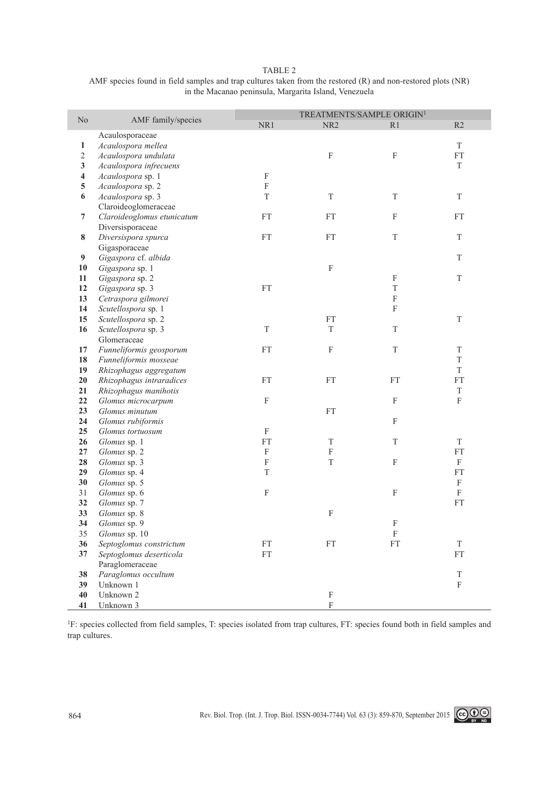|--|--|

| AMF species found in field samples and trap cultures taken from the restored $(R)$ and non-restored plots $(NR)$ |
|------------------------------------------------------------------------------------------------------------------|
| in the Macanao peninsula, Margarita Island, Venezuela                                                            |

|                         |                                       |             | TREATMENTS/SAMPLE ORIGIN <sup>1</sup> |              |                           |
|-------------------------|---------------------------------------|-------------|---------------------------------------|--------------|---------------------------|
| N <sub>o</sub>          | AMF family/species                    | NR1         | NR <sub>2</sub>                       | R1           | R2                        |
|                         | Acaulosporaceae                       |             |                                       |              |                           |
| $\mathbf{1}$            | Acaulospora mellea                    |             |                                       |              | T                         |
| $\mathbf 2$             | Acaulospora undulata                  |             | $\overline{\mathrm{F}}$               | F            | ${\rm FT}$                |
| 3                       | Acaulospora infrecuens                |             |                                       |              | T                         |
| $\overline{\mathbf{4}}$ | Acaulospora sp. 1                     | F           |                                       |              |                           |
| 5                       | Acaulospora sp. 2                     | F           |                                       |              |                           |
| 6                       | Acaulospora sp. 3                     | T           | T                                     | T            | T                         |
|                         | Claroideoglomeraceae                  |             |                                       |              |                           |
| 7                       | Claroideoglomus etunicatum            | <b>FT</b>   | <b>FT</b>                             | $\mathbf F$  | <b>FT</b>                 |
|                         | Diversisporaceae                      |             |                                       |              |                           |
| 8                       | Diversispora spurca                   | <b>FT</b>   | <b>FT</b>                             | T            | T                         |
|                         | Gigasporaceae                         |             |                                       |              |                           |
| 9                       | Gigaspora cf. albida                  |             |                                       |              | $\mathbf T$               |
| 10                      | Gigaspora sp. 1                       |             | $\boldsymbol{\mathrm{F}}$             |              |                           |
| 11                      | Gigaspora sp. 2                       |             |                                       | F            | $\mathbf T$               |
| 12                      | Gigaspora sp. 3                       | <b>FT</b>   |                                       | $\rm T$      |                           |
| 13                      | Cetraspora gilmorei                   |             |                                       | $\mathbf F$  |                           |
| 14                      | Scutellospora sp. 1                   |             |                                       | $\mathbf F$  |                           |
| 15                      | Scutellospora sp. 2                   |             | <b>FT</b>                             |              | T                         |
| 16                      | Scutellospora sp. 3                   | $\mathbf T$ | T                                     | $\mathbf T$  |                           |
|                         | Glomeraceae                           |             |                                       |              |                           |
| 17                      | Funneliformis geosporum               | ${\rm FT}$  | $\boldsymbol{\mathrm{F}}$             | $\mathbf T$  | T                         |
| 18                      | Funneliformis mosseae                 |             |                                       |              | T                         |
| 19                      | Rhizophagus aggregatum                |             |                                       |              | T                         |
| 20                      | Rhizophagus intraradices              | ${\rm FT}$  | FT                                    | FT           | <b>FT</b>                 |
| 21                      | Rhizophagus manihotis                 |             |                                       |              | $\mathbf T$               |
| 22                      | Glomus microcarpum                    | $\mathbf F$ |                                       | $\mathbf F$  | $\mathbf F$               |
| 23<br>24                | Glomus minutum                        |             | <b>FT</b>                             | $\mathbf F$  |                           |
| 25                      | Glomus rubiformis<br>Glomus tortuosum | F           |                                       |              |                           |
| 26                      | Glomus sp. 1                          | <b>FT</b>   | T                                     | $\mathbf T$  | T                         |
| 27                      | Glomus sp. 2                          | ${\bf F}$   | F                                     |              | <b>FT</b>                 |
| 28                      | Glomus sp. 3                          | F           | T                                     | $\mathbf F$  | F                         |
| 29                      | Glomus sp. 4                          | T           |                                       |              | <b>FT</b>                 |
| 30                      | Glomus sp. 5                          |             |                                       |              | $\boldsymbol{\mathrm{F}}$ |
| 31                      | Glomus sp. 6                          | $\mathbf F$ |                                       | $\mathbf F$  | F                         |
| 32                      | Glomus sp. 7                          |             |                                       |              | ${\rm FT}$                |
| 33                      | Glomus sp. 8                          |             | F                                     |              |                           |
| 34                      | Glomus sp. 9                          |             |                                       | $\mathbf{F}$ |                           |
| 35                      | Glomus sp. 10                         |             |                                       | F            |                           |
| 36                      | Septoglomus constrictum               | FT          | FT                                    | FT           | T                         |
| 37                      | Septoglomus deserticola               | <b>FT</b>   |                                       |              | FT                        |
|                         | Paraglomeraceae                       |             |                                       |              |                           |
| 38                      | Paraglomus occultum                   |             |                                       |              | $\mathbf T$               |
| 39                      | Unknown 1                             |             |                                       |              | $\rm F$                   |
| 40                      | Unknown 2                             |             | $\mathbf F$                           |              |                           |
| 41                      | Unknown 3                             |             | $\mathbf F$                           |              |                           |

<sup>1</sup>F: species collected from field samples, T: species isolated from trap cultures, FT: species found both in field samples and trap cultures.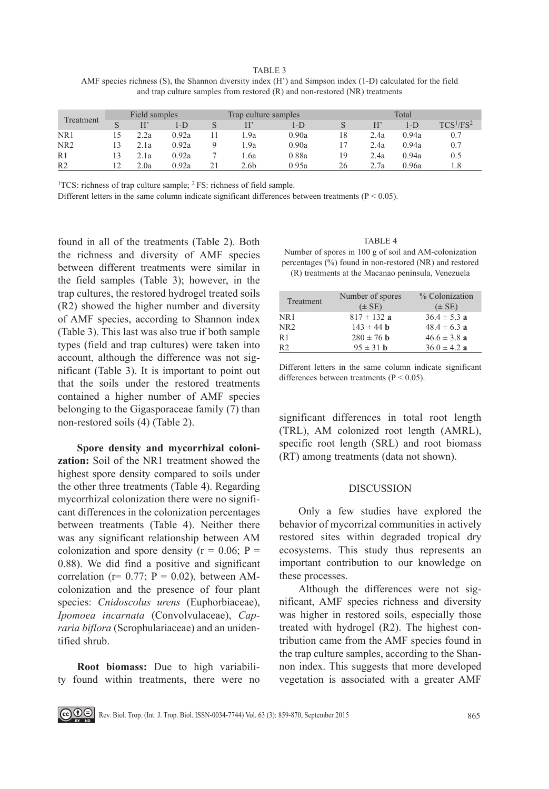TABLE 3

AMF species richness (S), the Shannon diversity index (H') and Simpson index (1-D) calculated for the field and trap culture samples from restored (R) and non-restored (NR) treatments

| Treatment       | Field samples |      |       | Trap culture samples |       |    | Total |       |              |  |
|-----------------|---------------|------|-------|----------------------|-------|----|-------|-------|--------------|--|
|                 |               | H'   | 1-D   |                      | l-D   | S  | H     | $1-D$ | $TCS^1/FS^2$ |  |
| NR1             |               | 2.2a | 0.92a | .9a                  | 0.90a | 18 | 2.4a  | 0.94a | 0.7          |  |
| NR <sub>2</sub> | 13            | 2.1a | 0.92a | .9a                  | 0.90a |    | 2.4a  | 0.94a | 0.7          |  |
| R <sub>1</sub>  |               | 2.1a | 0.92a | .6a                  | 0.88a | 19 | 2.4a  | 0.94a | 0.5          |  |
| R <sub>2</sub>  |               | 2.0a | 0.92a | 2.6 <sub>b</sub>     | 0.95a | 26 | 2.7a  | 0.96a |              |  |

<sup>1</sup>TCS: richness of trap culture sample;  ${}^{2}$  FS: richness of field sample.

Different letters in the same column indicate significant differences between treatments ( $P < 0.05$ ).

found in all of the treatments (Table 2). Both the richness and diversity of AMF species between different treatments were similar in the field samples (Table 3); however, in the trap cultures, the restored hydrogel treated soils (R2) showed the higher number and diversity of AMF species, according to Shannon index (Table 3). This last was also true if both sample types (field and trap cultures) were taken into account, although the difference was not significant (Table 3). It is important to point out that the soils under the restored treatments contained a higher number of AMF species belonging to the Gigasporaceae family (7) than non-restored soils (4) (Table 2).

**Spore density and mycorrhizal colonization:** Soil of the NR1 treatment showed the highest spore density compared to soils under the other three treatments (Table 4). Regarding mycorrhizal colonization there were no significant differences in the colonization percentages between treatments (Table 4). Neither there was any significant relationship between AM colonization and spore density  $(r = 0.06; P =$ 0.88). We did find a positive and significant correlation ( $r = 0.77$ ;  $P = 0.02$ ), between AMcolonization and the presence of four plant species: *Cnidoscolus urens* (Euphorbiaceae), *Ipomoea incarnata* (Convolvulaceae), *Capraria biflora* (Scrophulariaceae) and an unidentified shrub.

**Root biomass:** Due to high variability found within treatments, there were no

## TABLE 4

Number of spores in 100 g of soil and AM-colonization percentages (%) found in non-restored (NR) and restored (R) treatments at the Macanao península, Venezuela

| Treatment       | Number of spores<br>$(\pm SE)$ | % Colonization<br>$(\pm SE)$ |
|-----------------|--------------------------------|------------------------------|
| NR1             | $817 \pm 132$ a                | $36.4 \pm 5.3 a$             |
| NR <sub>2</sub> | $143 \pm 44$ <b>b</b>          | $48.4 \pm 6.3$ a             |
| R1              | $280 \pm 76$ b                 | $46.6 \pm 3.8$ a             |
| R <sub>2</sub>  | $95 \pm 31$ h                  | $36.0 \pm 4.2$ a             |

Different letters in the same column indicate significant differences between treatments ( $P < 0.05$ ).

significant differences in total root length (TRL), AM colonized root length (AMRL), specific root length (SRL) and root biomass (RT) among treatments (data not shown).

#### DISCUSSION

Only a few studies have explored the behavior of mycorrizal communities in actively restored sites within degraded tropical dry ecosystems. This study thus represents an important contribution to our knowledge on these processes.

Although the differences were not significant, AMF species richness and diversity was higher in restored soils, especially those treated with hydrogel (R2). The highest contribution came from the AMF species found in the trap culture samples, according to the Shannon index. This suggests that more developed vegetation is associated with a greater AMF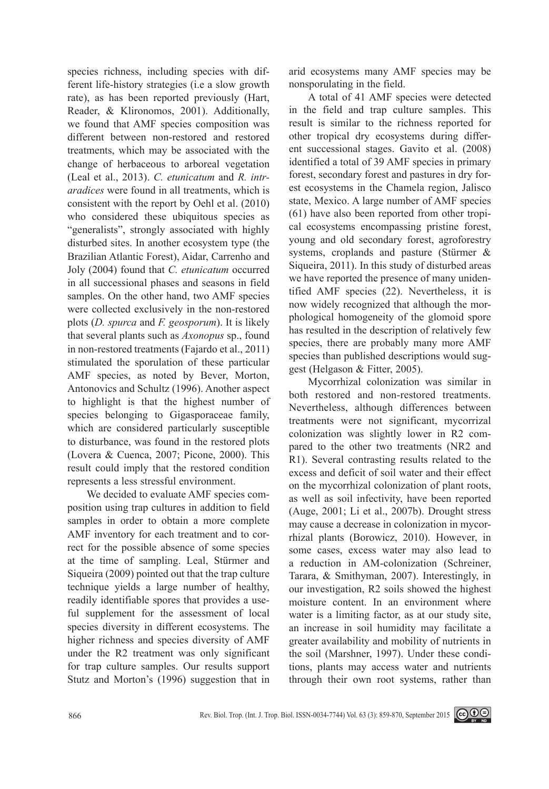species richness, including species with different life-history strategies (i.e a slow growth rate), as has been reported previously (Hart, Reader, & Klironomos, 2001). Additionally, we found that AMF species composition was different between non-restored and restored treatments, which may be associated with the change of herbaceous to arboreal vegetation (Leal et al., 2013). *C. etunicatum* and *R. intraradices* were found in all treatments, which is consistent with the report by Oehl et al. (2010) who considered these ubiquitous species as "generalists", strongly associated with highly disturbed sites. In another ecosystem type (the Brazilian Atlantic Forest), Aidar, Carrenho and Joly (2004) found that *C. etunicatum* occurred in all successional phases and seasons in field samples. On the other hand, two AMF species were collected exclusively in the non-restored plots (*D. spurca* and *F. geosporum*). It is likely that several plants such as *Axonopus* sp., found in non-restored treatments (Fajardo et al., 2011) stimulated the sporulation of these particular AMF species, as noted by Bever, Morton, Antonovics and Schultz (1996). Another aspect to highlight is that the highest number of species belonging to Gigasporaceae family, which are considered particularly susceptible to disturbance, was found in the restored plots (Lovera & Cuenca, 2007; Picone, 2000). This result could imply that the restored condition represents a less stressful environment.

We decided to evaluate AMF species composition using trap cultures in addition to field samples in order to obtain a more complete AMF inventory for each treatment and to correct for the possible absence of some species at the time of sampling. Leal, Stürmer and Siqueira (2009) pointed out that the trap culture technique yields a large number of healthy, readily identifiable spores that provides a useful supplement for the assessment of local species diversity in different ecosystems. The higher richness and species diversity of AMF under the R2 treatment was only significant for trap culture samples. Our results support Stutz and Morton's (1996) suggestion that in arid ecosystems many AMF species may be nonsporulating in the field.

A total of 41 AMF species were detected in the field and trap culture samples. This result is similar to the richness reported for other tropical dry ecosystems during different successional stages. Gavito et al. (2008) identified a total of 39 AMF species in primary forest, secondary forest and pastures in dry forest ecosystems in the Chamela region, Jalisco state, Mexico. A large number of AMF species (61) have also been reported from other tropical ecosystems encompassing pristine forest, young and old secondary forest, agroforestry systems, croplands and pasture (Stürmer & Siqueira, 2011). In this study of disturbed areas we have reported the presence of many unidentified AMF species (22). Nevertheless, it is now widely recognized that although the morphological homogeneity of the glomoid spore has resulted in the description of relatively few species, there are probably many more AMF species than published descriptions would suggest (Helgason & Fitter, 2005).

Mycorrhizal colonization was similar in both restored and non-restored treatments. Nevertheless, although differences between treatments were not significant, mycorrizal colonization was slightly lower in R2 compared to the other two treatments (NR2 and R1). Several contrasting results related to the excess and deficit of soil water and their effect on the mycorrhizal colonization of plant roots, as well as soil infectivity, have been reported (Auge, 2001; Li et al., 2007b). Drought stress may cause a decrease in colonization in mycorrhizal plants (Borowicz, 2010). However, in some cases, excess water may also lead to a reduction in AM-colonization (Schreiner, Tarara, & Smithyman, 2007). Interestingly, in our investigation, R2 soils showed the highest moisture content. In an environment where water is a limiting factor, as at our study site, an increase in soil humidity may facilitate a greater availability and mobility of nutrients in the soil (Marshner, 1997). Under these conditions, plants may access water and nutrients through their own root systems, rather than

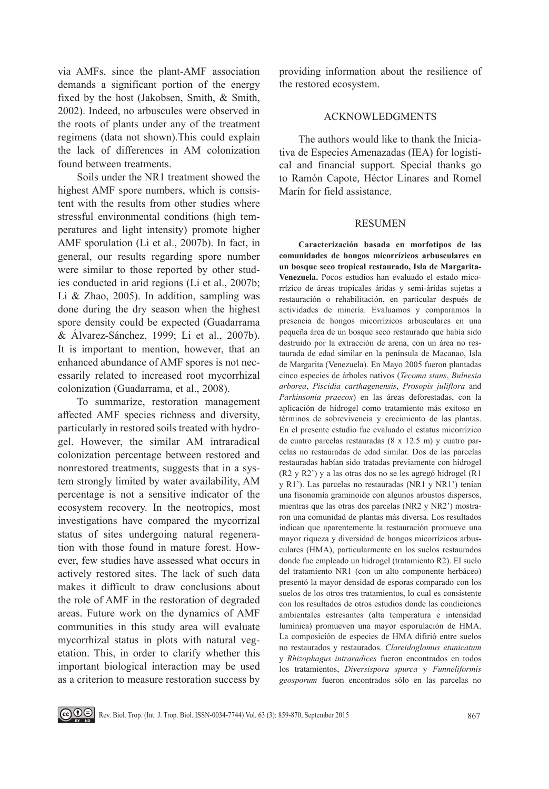via AMFs, since the plant-AMF association demands a significant portion of the energy fixed by the host (Jakobsen, Smith, & Smith, 2002). Indeed, no arbuscules were observed in the roots of plants under any of the treatment regimens (data not shown).This could explain the lack of differences in AM colonization found between treatments.

Soils under the NR1 treatment showed the highest AMF spore numbers, which is consistent with the results from other studies where stressful environmental conditions (high temperatures and light intensity) promote higher AMF sporulation (Li et al., 2007b). In fact, in general, our results regarding spore number were similar to those reported by other studies conducted in arid regions (Li et al., 2007b; Li  $& Zhao, 2005$ . In addition, sampling was done during the dry season when the highest spore density could be expected (Guadarrama & Álvarez-Sánchez, 1999; Li et al., 2007b). It is important to mention, however, that an enhanced abundance of AMF spores is not necessarily related to increased root mycorrhizal colonization (Guadarrama, et al., 2008).

To summarize, restoration management affected AMF species richness and diversity, particularly in restored soils treated with hydrogel. However, the similar AM intraradical colonization percentage between restored and nonrestored treatments, suggests that in a system strongly limited by water availability, AM percentage is not a sensitive indicator of the ecosystem recovery. In the neotropics, most investigations have compared the mycorrizal status of sites undergoing natural regeneration with those found in mature forest. However, few studies have assessed what occurs in actively restored sites. The lack of such data makes it difficult to draw conclusions about the role of AMF in the restoration of degraded areas. Future work on the dynamics of AMF communities in this study area will evaluate mycorrhizal status in plots with natural vegetation. This, in order to clarify whether this important biological interaction may be used as a criterion to measure restoration success by providing information about the resilience of the restored ecosystem.

## Acknowledgments

The authors would like to thank the Iniciativa de Especies Amenazadas (IEA) for logistical and financial support. Special thanks go to Ramón Capote, Héctor Linares and Romel Marín for field assistance.

### **RESUMEN**

**Caracterización basada en morfotipos de las comunidades de hongos micorrízicos arbusculares en un bosque seco tropical restaurado, Isla de Margarita-Venezuela.** Pocos estudios han evaluado el estado micorrízico de áreas tropicales áridas y semi-áridas sujetas a restauración o rehabilitación, en particular después de actividades de minería. Evaluamos y comparamos la presencia de hongos micorrízicos arbusculares en una pequeña área de un bosque seco restaurado que había sido destruido por la extracción de arena, con un área no restaurada de edad similar en la península de Macanao, Isla de Margarita (Venezuela). En Mayo 2005 fueron plantadas cinco especies de árboles nativos (*Tecoma stans*, *Bulnesia arborea*, *Piscidia carthagenensis*, *Prosopis juliflora* and *Parkinsonia praecox*) en las áreas deforestadas, con la aplicación de hidrogel como tratamiento más exitoso en términos de sobrevivencia y crecimiento de las plantas. En el presente estudio fue evaluado el estatus micorrízico de cuatro parcelas restauradas (8 x 12.5 m) y cuatro parcelas no restauradas de edad similar. Dos de las parcelas restauradas habían sido tratadas previamente con hidrogel (R2 y R2') y a las otras dos no se les agregó hidrogel (R1 y R1'). Las parcelas no restauradas (NR1 y NR1') tenían una fisonomía graminoide con algunos arbustos dispersos, mientras que las otras dos parcelas (NR2 y NR2') mostraron una comunidad de plantas más diversa. Los resultados indican que aparentemente la restauración promueve una mayor riqueza y diversidad de hongos micorrízicos arbusculares (HMA), particularmente en los suelos restaurados donde fue empleado un hidrogel (tratamiento R2). El suelo del tratamiento NR1 (con un alto componente herbáceo) presentó la mayor densidad de esporas comparado con los suelos de los otros tres tratamientos, lo cual es consistente con los resultados de otros estudios donde las condiciones ambientales estresantes (alta temperatura e intensidad lumínica) promueven una mayor esporulación de HMA. La composición de especies de HMA difirió entre suelos no restaurados y restaurados. *Clareidoglomus etunicatum*  y *Rhizophagus intraradices* fueron encontrados en todos los tratamientos, *Diversispora spurca* y *Funneliformis geosporum* fueron encontrados sólo en las parcelas no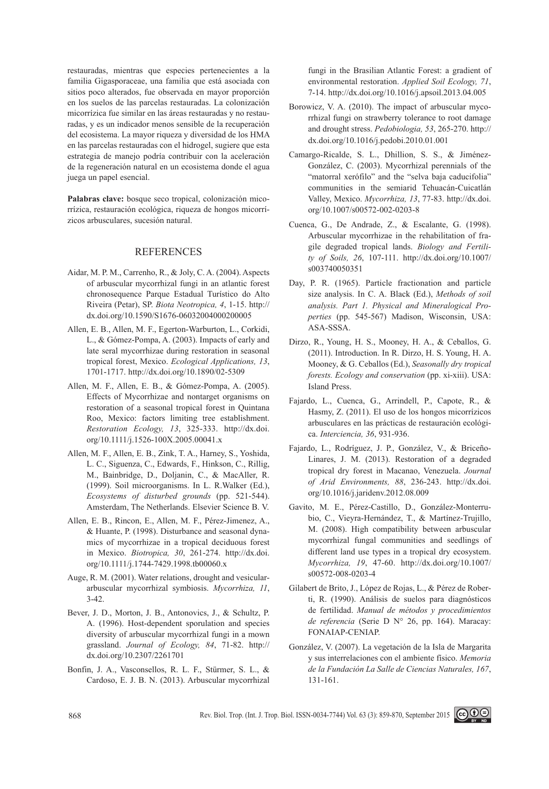restauradas, mientras que especies pertenecientes a la familia Gigasporaceae, una familia que está asociada con sitios poco alterados, fue observada en mayor proporción en los suelos de las parcelas restauradas. La colonización micorrízica fue similar en las áreas restauradas y no restauradas, y es un indicador menos sensible de la recuperación del ecosistema. La mayor riqueza y diversidad de los HMA en las parcelas restauradas con el hidrogel, sugiere que esta estrategia de manejo podría contribuir con la aceleración de la regeneración natural en un ecosistema donde el agua juega un papel esencial.

**Palabras clave:** bosque seco tropical, colonización micorrízica, restauración ecológica, riqueza de hongos micorrízicos arbusculares, sucesión natural.

## **REFERENCES**

- Aidar, M. P. M., Carrenho, R., & Joly, C. A. (2004). Aspects of arbuscular mycorrhizal fungi in an atlantic forest chronosequence Parque Estadual Turístico do Alto Riveira (Petar), SP. *Biota Neotropica, 4*, 1-15. http:// dx.doi.org/10.1590/S1676-06032004000200005
- Allen, E. B., Allen, M. F., Egerton-Warburton, L., Corkidi, L., & Gómez-Pompa, A. (2003). Impacts of early and late seral mycorrhizae during restoration in seasonal tropical forest, Mexico. *Ecological Applications, 13*, 1701-1717. http://dx.doi.org/10.1890/02-5309
- Allen, M. F., Allen, E. B., & Gómez-Pompa, A. (2005). Effects of Mycorrhizae and nontarget organisms on restoration of a seasonal tropical forest in Quintana Roo, Mexico: factors limiting tree establishment. *Restoration Ecology, 13*, 325-333. http://dx.doi. org/10.1111/j.1526-100X.2005.00041.x
- Allen, M. F., Allen, E. B., Zink, T. A., Harney, S., Yoshida, L. C., Siguenza, C., Edwards, F., Hinkson, C., Rillig, M., Bainbridge, D., Doljanin, C., & MacAller, R. (1999). Soil microorganisms. In L. R.Walker (Ed.), *Ecosystems of disturbed grounds* (pp. 521-544). Amsterdam, The Netherlands. Elsevier Science B. V.
- Allen, E. B., Rincon, E., Allen, M. F., Pérez-Jimenez, A., & Huante, P. (1998). Disturbance and seasonal dynamics of mycorrhizae in a tropical deciduous forest in Mexico. *Biotropica, 30*, 261-274. http://dx.doi. org/10.1111/j.1744-7429.1998.tb00060.x
- Auge, R. M. (2001). Water relations, drought and vesiculararbuscular mycorrhizal symbiosis. *Mycorrhiza, 11*, 3-42.
- Bever, J. D., Morton, J. B., Antonovics, J., & Schultz, P. A. (1996). Host-dependent sporulation and species diversity of arbuscular mycorrhizal fungi in a mown grassland. *Journal of Ecology, 84*, 71-82. http:// dx.doi.org/10.2307/2261701
- Bonfin, J. A., Vasconsellos, R. L. F., Stürmer, S. L., & Cardoso, E. J. B. N. (2013). Arbuscular mycorrhizal

fungi in the Brasilian Atlantic Forest: a gradient of environmental restoration. *Applied Soil Ecology, 71*, 7-14. http://dx.doi.org/10.1016/j.apsoil.2013.04.005

- Borowicz, V. A. (2010). The impact of arbuscular mycorrhizal fungi on strawberry tolerance to root damage and drought stress. *Pedobiologia, 53*, 265-270. http:// dx.doi.org/10.1016/j.pedobi.2010.01.001
- Camargo-Ricalde, S. L., Dhillion, S. S., & Jiménez-González, C. (2003). Mycorrhizal perennials of the "matorral xerófilo" and the "selva baja caducifolia" communities in the semiarid Tehuacán-Cuicatlán Valley, Mexico. *Mycorrhiza, 13*, 77-83. http://dx.doi. org/10.1007/s00572-002-0203-8
- Cuenca, G., De Andrade, Z., & Escalante, G. (1998). Arbuscular mycorrhizae in the rehabilitation of fragile degraded tropical lands. *Biology and Fertility of Soils, 26*, 107-111. http://dx.doi.org/10.1007/ s003740050351
- Day, P. R. (1965). Particle fractionation and particle size analysis. In C. A. Black (Ed.), *Methods of soil analysis. Part 1. Physical and Mineralogical Properties* (pp. 545-567) Madison, Wisconsin, USA: ASA-SSSA.
- Dirzo, R., Young, H. S., Mooney, H. A., & Ceballos, G. (2011). Introduction. In R. Dirzo, H. S. Young, H. A. Mooney, & G. Ceballos (Ed.), *Seasonally dry tropical forests. Ecology and conservation* (pp. xi-xiii). USA: Island Press.
- Fajardo, L., Cuenca, G., Arrindell, P., Capote, R., & Hasmy, Z. (2011). El uso de los hongos micorrízicos arbusculares en las prácticas de restauración ecológica. *Interciencia, 36*, 931-936.
- Fajardo, L., Rodríguez, J. P., González, V., & Briceño-Linares, J. M. (2013). Restoration of a degraded tropical dry forest in Macanao, Venezuela. *Journal of Arid Environments, 88*, 236-243. http://dx.doi. org/10.1016/j.jaridenv.2012.08.009
- Gavito, M. E., Pérez-Castillo, D., González-Monterrubio, C., Vieyra-Hernández, T., & Martínez-Trujillo, M. (2008). High compatibility between arbuscular mycorrhizal fungal communities and seedlings of different land use types in a tropical dry ecosystem. *Mycorrhiza, 19*, 47-60. http://dx.doi.org/10.1007/ s00572-008-0203-4
- Gilabert de Brito, J., López de Rojas, L., & Pérez de Roberti, R. (1990). Análisis de suelos para diagnósticos de fertilidad. *Manual de métodos y procedimientos de referencia* (Serie D N° 26, pp. 164). Maracay: FONAIAP-CENIAP.
- González, V. (2007). La vegetación de la Isla de Margarita y sus interrelaciones con el ambiente físico. *Memoria de la Fundación La Salle de Ciencias Naturales, 167*, 131-161.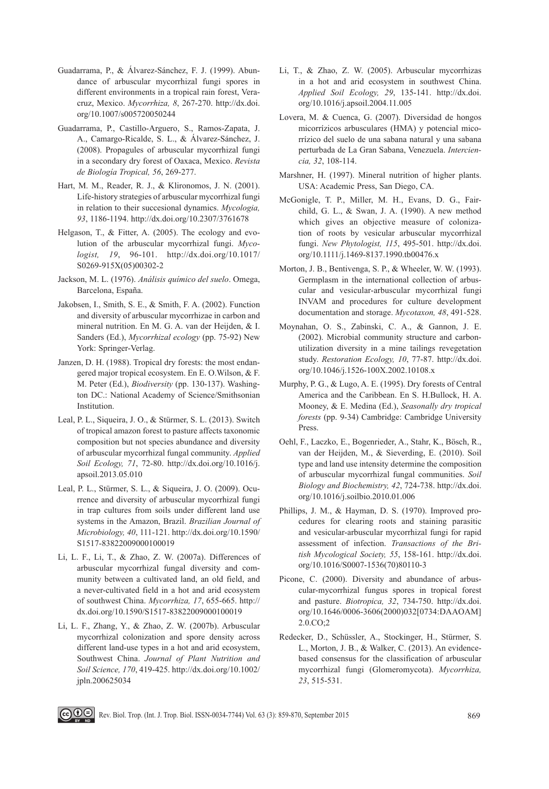- Guadarrama, P., & Álvarez-Sánchez, F. J. (1999). Abundance of arbuscular mycorrhizal fungi spores in different environments in a tropical rain forest, Veracruz, Mexico. *Mycorrhiza, 8*, 267-270. http://dx.doi. org/10.1007/s005720050244
- Guadarrama, P., Castillo-Arguero, S., Ramos-Zapata, J. A., Camargo-Ricalde, S. L., & Álvarez-Sánchez, J. (2008). Propagules of arbuscular mycorrhizal fungi in a secondary dry forest of Oaxaca, Mexico. *Revista de Biología Tropical, 56*, 269-277.
- Hart, M. M., Reader, R. J., & Klironomos, J. N. (2001). Life-history strategies of arbuscular mycorrhizal fungi in relation to their succesional dynamics. *Mycologia, 93*, 1186-1194. http://dx.doi.org/10.2307/3761678
- Helgason, T., & Fitter, A. (2005). The ecology and evolution of the arbuscular mycorrhizal fungi. *Mycologist, 19*, 96-101. http://dx.doi.org/10.1017/ S0269-915X(05)00302-2
- Jackson, M. L. (1976). *Análisis químico del suelo*. Omega, Barcelona, España.
- Jakobsen, I., Smith, S. E., & Smith, F. A. (2002). Function and diversity of arbuscular mycorrhizae in carbon and mineral nutrition. En M. G. A. van der Heijden, & I. Sanders (Ed.), *Mycorrhizal ecology* (pp. 75-92) New York: Springer-Verlag.
- Janzen, D. H. (1988). Tropical dry forests: the most endangered major tropical ecosystem. En E. O.Wilson, & F. M. Peter (Ed.), *Biodiversity* (pp. 130-137). Washington DC.: National Academy of Science/Smithsonian Institution.
- Leal, P. L., Siqueira, J. O., & Stürmer, S. L. (2013). Switch of tropical amazon forest to pasture affects taxonomic composition but not species abundance and diversity of arbuscular mycorrhizal fungal community. *Applied Soil Ecology, 71*, 72-80. http://dx.doi.org/10.1016/j. apsoil.2013.05.010
- Leal, P. L., Stürmer, S. L., & Siqueira, J. O. (2009). Ocurrence and diversity of arbuscular mycorrhizal fungi in trap cultures from soils under different land use systems in the Amazon, Brazil. *Brazilian Journal of Microbiology, 40*, 111-121. http://dx.doi.org/10.1590/ S1517-83822009000100019
- Li, L. F., Li, T., & Zhao, Z. W. (2007a). Differences of arbuscular mycorrhizal fungal diversity and community between a cultivated land, an old field, and a never-cultivated field in a hot and arid ecosystem of southwest China. *Mycorrhiza, 17*, 655-665. http:// dx.doi.org/10.1590/S1517-83822009000100019
- Li, L. F., Zhang, Y., & Zhao, Z. W. (2007b). Arbuscular mycorrhizal colonization and spore density across different land-use types in a hot and arid ecosystem, Southwest China. *Journal of Plant Nutrition and Soil Science, 170*, 419-425. http://dx.doi.org/10.1002/ jpln.200625034
- Li, T., & Zhao, Z. W. (2005). Arbuscular mycorrhizas in a hot and arid ecosystem in southwest China. *Applied Soil Ecology, 29*, 135-141. http://dx.doi. org/10.1016/j.apsoil.2004.11.005
- Lovera, M. & Cuenca, G. (2007). Diversidad de hongos micorrízicos arbusculares (HMA) y potencial micorrízico del suelo de una sabana natural y una sabana perturbada de La Gran Sabana, Venezuela. *Interciencia, 32*, 108-114.
- Marshner, H. (1997). Mineral nutrition of higher plants. USA: Academic Press, San Diego, CA.
- McGonigle, T. P., Miller, M. H., Evans, D. G., Fairchild, G. L., & Swan, J. A. (1990). A new method which gives an objective measure of colonization of roots by vesicular arbuscular mycorrhizal fungi. *New Phytologist, 115*, 495-501. http://dx.doi. org/10.1111/j.1469-8137.1990.tb00476.x
- Morton, J. B., Bentivenga, S. P., & Wheeler, W. W. (1993). Germplasm in the international collection of arbuscular and vesicular-arbuscular mycorrhizal fungi INVAM and procedures for culture development documentation and storage. *Mycotaxon, 48*, 491-528.
- Moynahan, O. S., Zabinski, C. A., & Gannon, J. E. (2002). Microbial community structure and carbonutilization diversity in a mine tailings revegetation study. *Restoration Ecology, 10*, 77-87. http://dx.doi. org/10.1046/j.1526-100X.2002.10108.x
- Murphy, P. G., & Lugo, A. E. (1995). Dry forests of Central America and the Caribbean. En S. H.Bullock, H. A. Mooney, & E. Medina (Ed.), *Seasonally dry tropical forests* (pp. 9-34) Cambridge: Cambridge University Press.
- Oehl, F., Laczko, E., Bogenrieder, A., Stahr, K., Bösch, R., van der Heijden, M., & Sieverding, E. (2010). Soil type and land use intensity determine the composition of arbuscular mycorrhizal fungal communities. *Soil Biology and Biochemistry, 42*, 724-738. http://dx.doi. org/10.1016/j.soilbio.2010.01.006
- Phillips, J. M., & Hayman, D. S. (1970). Improved procedures for clearing roots and staining parasitic and vesicular-arbuscular mycorrhizal fungi for rapid assessment of infection. *Transactions of the British Mycological Society, 55*, 158-161. http://dx.doi. org/10.1016/S0007-1536(70)80110-3
- Picone, C. (2000). Diversity and abundance of arbuscular-mycorrhizal fungus spores in tropical forest and pasture. *Biotropica, 32*, 734-750. http://dx.doi. org/10.1646/0006-3606(2000)032[0734:DAAOAM] 2.0.CO;2
- Redecker, D., Schüssler, A., Stockinger, H., Stürmer, S. L., Morton, J. B., & Walker, C. (2013). An evidencebased consensus for the classification of arbuscular mycorrhizal fungi (Glomeromycota). *Mycorrhiza, 23*, 515-531.